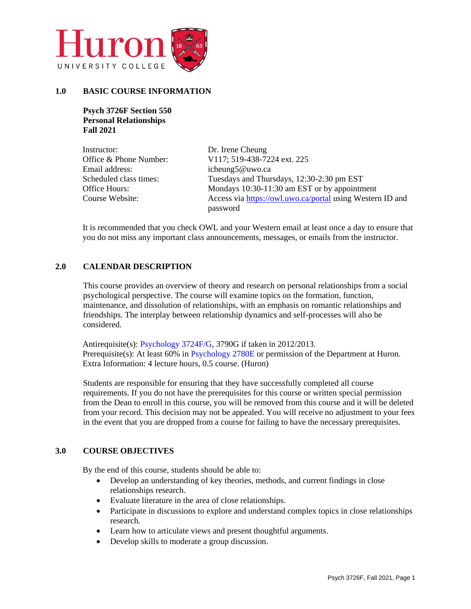

# **1.0 BASIC COURSE INFORMATION**

**Psych 3726F Section 550 Personal Relationships Fall 2021**

| Instructor:            | Dr. Irene Cheung                                          |
|------------------------|-----------------------------------------------------------|
| Office & Phone Number: | V117; 519-438-7224 ext. 225                               |
| Email address:         | icheung5@uwo.ca                                           |
| Scheduled class times: | Tuesdays and Thursdays, 12:30-2:30 pm EST                 |
| Office Hours:          | Mondays 10:30-11:30 am EST or by appointment              |
| Course Website:        | Access via https://owl.uwo.ca/portal using Western ID and |
|                        | password                                                  |

It is recommended that you check OWL and your Western email at least once a day to ensure that you do not miss any important class announcements, messages, or emails from the instructor.

# **2.0 CALENDAR DESCRIPTION**

This course provides an overview of theory and research on personal relationships from a social psychological perspective. The course will examine topics on the formation, function, maintenance, and dissolution of relationships, with an emphasis on romantic relationships and friendships. The interplay between relationship dynamics and self-processes will also be considered.

Antirequisite(s): [Psychology 3724F/G,](http://www.westerncalendar.uwo.ca/2014/pg954.html#79395) 3790G if taken in 2012/2013. Prerequisite(s): At least 60% in [Psychology 2780E](http://www.westerncalendar.uwo.ca/2014/pg1308.html#38339) or permission of the Department at Huron. Extra Information: 4 lecture hours, 0.5 course. (Huron)

Students are responsible for ensuring that they have successfully completed all course requirements. If you do not have the prerequisites for this course or written special permission from the Dean to enroll in this course, you will be removed from this course and it will be deleted from your record. This decision may not be appealed. You will receive no adjustment to your fees in the event that you are dropped from a course for failing to have the necessary prerequisites.

# **3.0 COURSE OBJECTIVES**

By the end of this course, students should be able to:

- Develop an understanding of key theories, methods, and current findings in close relationships research.
- Evaluate literature in the area of close relationships.
- Participate in discussions to explore and understand complex topics in close relationships research.
- Learn how to articulate views and present thoughtful arguments.
- Develop skills to moderate a group discussion.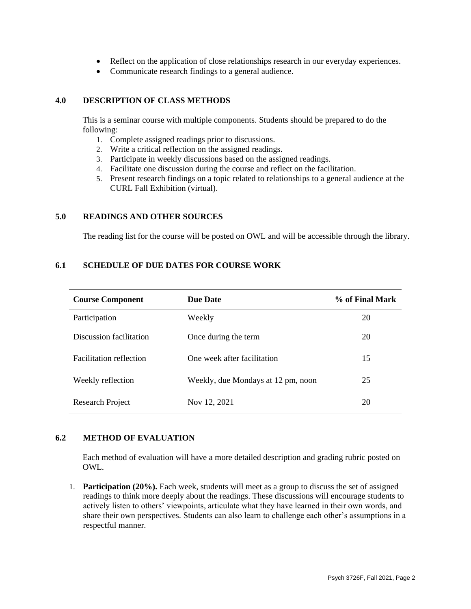- Reflect on the application of close relationships research in our everyday experiences.
- Communicate research findings to a general audience.

#### **4.0 DESCRIPTION OF CLASS METHODS**

This is a seminar course with multiple components. Students should be prepared to do the following:

- 1. Complete assigned readings prior to discussions.
- 2. Write a critical reflection on the assigned readings.
- 3. Participate in weekly discussions based on the assigned readings.
- 4. Facilitate one discussion during the course and reflect on the facilitation.
- 5. Present research findings on a topic related to relationships to a general audience at the CURL Fall Exhibition (virtual).

# **5.0 READINGS AND OTHER SOURCES**

The reading list for the course will be posted on OWL and will be accessible through the library.

# **6.1 SCHEDULE OF DUE DATES FOR COURSE WORK**

| <b>Course Component</b>        | <b>Due Date</b>                    | % of Final Mark |
|--------------------------------|------------------------------------|-----------------|
| Participation                  | Weekly                             | 20              |
| Discussion facilitation        | Once during the term               | 20              |
| <b>Facilitation reflection</b> | One week after facilitation        | 15              |
| Weekly reflection              | Weekly, due Mondays at 12 pm, noon | 25              |
| Research Project               | Nov 12, 2021                       | 20              |

# **6.2 METHOD OF EVALUATION**

Each method of evaluation will have a more detailed description and grading rubric posted on OWL.

1. **Participation (20%).** Each week, students will meet as a group to discuss the set of assigned readings to think more deeply about the readings. These discussions will encourage students to actively listen to others' viewpoints, articulate what they have learned in their own words, and share their own perspectives. Students can also learn to challenge each other's assumptions in a respectful manner.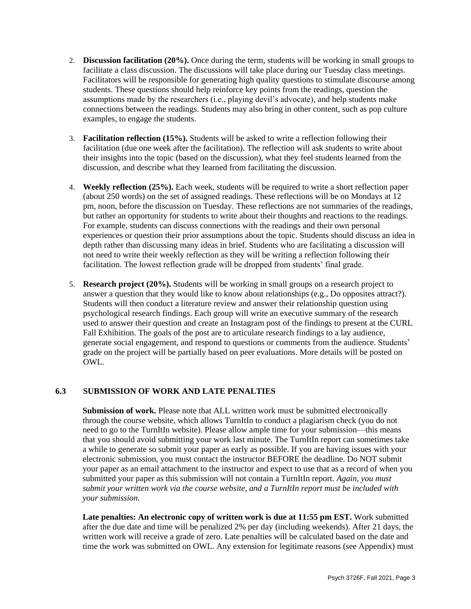- 2. **Discussion facilitation (20%).** Once during the term, students will be working in small groups to facilitate a class discussion. The discussions will take place during our Tuesday class meetings. Facilitators will be responsible for generating high quality questions to stimulate discourse among students. These questions should help reinforce key points from the readings, question the assumptions made by the researchers (i.e., playing devil's advocate), and help students make connections between the readings. Students may also bring in other content, such as pop culture examples, to engage the students.
- 3. **Facilitation reflection (15%).** Students will be asked to write a reflection following their facilitation (due one week after the facilitation). The reflection will ask students to write about their insights into the topic (based on the discussion), what they feel students learned from the discussion, and describe what they learned from facilitating the discussion.
- 4. **Weekly reflection (25%).** Each week, students will be required to write a short reflection paper (about 250 words) on the set of assigned readings. These reflections will be on Mondays at 12 pm, noon, before the discussion on Tuesday. These reflections are not summaries of the readings, but rather an opportunity for students to write about their thoughts and reactions to the readings. For example, students can discuss connections with the readings and their own personal experiences or question their prior assumptions about the topic. Students should discuss an idea in depth rather than discussing many ideas in brief. Students who are facilitating a discussion will not need to write their weekly reflection as they will be writing a reflection following their facilitation. The lowest reflection grade will be dropped from students' final grade.
- 5. **Research project (20%).** Students will be working in small groups on a research project to answer a question that they would like to know about relationships (e.g., Do opposites attract?). Students will then conduct a literature review and answer their relationship question using psychological research findings. Each group will write an executive summary of the research used to answer their question and create an Instagram post of the findings to present at the CURL Fall Exhibition. The goals of the post are to articulate research findings to a lay audience, generate social engagement, and respond to questions or comments from the audience. Students' grade on the project will be partially based on peer evaluations. More details will be posted on OWL.

# **6.3 SUBMISSION OF WORK AND LATE PENALTIES**

**Submission of work.** Please note that ALL written work must be submitted electronically through the course website, which allows TurnItIn to conduct a plagiarism check (you do not need to go to the TurnItIn website). Please allow ample time for your submission—this means that you should avoid submitting your work last minute. The TurnItIn report can sometimes take a while to generate so submit your paper as early as possible. If you are having issues with your electronic submission, you must contact the instructor BEFORE the deadline. Do NOT submit your paper as an email attachment to the instructor and expect to use that as a record of when you submitted your paper as this submission will not contain a TurnItIn report. *Again, you must submit your written work via the course website, and a TurnItIn report must be included with your submission.*

Late penalties: An electronic copy of written work is due at 11:55 pm EST. Work submitted after the due date and time will be penalized 2% per day (including weekends). After 21 days, the written work will receive a grade of zero. Late penalties will be calculated based on the date and time the work was submitted on OWL. Any extension for legitimate reasons (see Appendix) must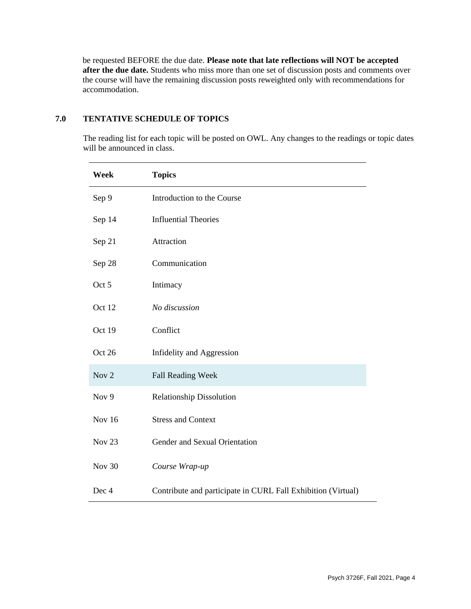be requested BEFORE the due date. **Please note that late reflections will NOT be accepted after the due date.** Students who miss more than one set of discussion posts and comments over the course will have the remaining discussion posts reweighted only with recommendations for accommodation.

# **7.0 TENTATIVE SCHEDULE OF TOPICS**

The reading list for each topic will be posted on OWL. Any changes to the readings or topic dates will be announced in class.

| Week              | <b>Topics</b>                                                |
|-------------------|--------------------------------------------------------------|
| Sep 9             | Introduction to the Course                                   |
| Sep 14            | <b>Influential Theories</b>                                  |
| Sep 21            | Attraction                                                   |
| Sep 28            | Communication                                                |
| Oct 5             | Intimacy                                                     |
| Oct 12            | No discussion                                                |
| Oct 19            | Conflict                                                     |
| Oct 26            | Infidelity and Aggression                                    |
| Nov 2             | <b>Fall Reading Week</b>                                     |
| Nov 9             | <b>Relationship Dissolution</b>                              |
| <b>Nov 16</b>     | <b>Stress and Context</b>                                    |
| Nov <sub>23</sub> | Gender and Sexual Orientation                                |
| Nov 30            | Course Wrap-up                                               |
| Dec 4             | Contribute and participate in CURL Fall Exhibition (Virtual) |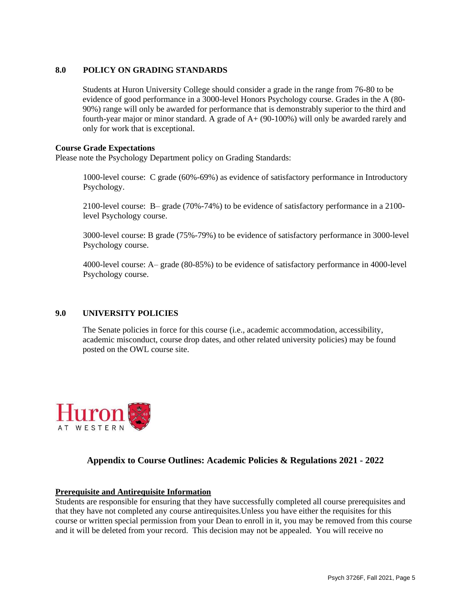# **8.0 POLICY ON GRADING STANDARDS**

Students at Huron University College should consider a grade in the range from 76-80 to be evidence of good performance in a 3000-level Honors Psychology course. Grades in the A (80- 90%) range will only be awarded for performance that is demonstrably superior to the third and fourth-year major or minor standard. A grade of A+ (90-100%) will only be awarded rarely and only for work that is exceptional.

# **Course Grade Expectations**

Please note the Psychology Department policy on Grading Standards:

1000-level course: C grade (60%-69%) as evidence of satisfactory performance in Introductory Psychology.

2100-level course: B– grade (70%-74%) to be evidence of satisfactory performance in a 2100 level Psychology course.

3000-level course: B grade (75%-79%) to be evidence of satisfactory performance in 3000-level Psychology course.

4000-level course: A– grade (80-85%) to be evidence of satisfactory performance in 4000-level Psychology course.

# **9.0 UNIVERSITY POLICIES**

The Senate policies in force for this course (i.e., academic accommodation, accessibility, academic misconduct, course drop dates, and other related university policies) may be found posted on the OWL course site.



# **Appendix to Course Outlines: Academic Policies & Regulations 2021 - 2022**

# **Prerequisite and Antirequisite Information**

Students are responsible for ensuring that they have successfully completed all course prerequisites and that they have not completed any course antirequisites.Unless you have either the requisites for this course or written special permission from your Dean to enroll in it, you may be removed from this course and it will be deleted from your record. This decision may not be appealed. You will receive no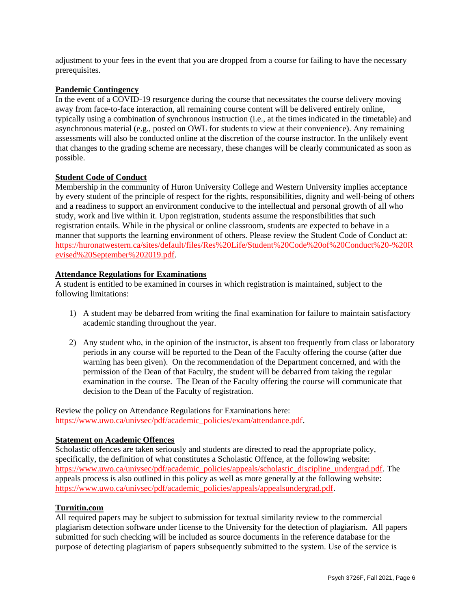adjustment to your fees in the event that you are dropped from a course for failing to have the necessary prerequisites.

## **Pandemic Contingency**

In the event of a COVID-19 resurgence during the course that necessitates the course delivery moving away from face-to-face interaction, all remaining course content will be delivered entirely online, typically using a combination of synchronous instruction (i.e., at the times indicated in the timetable) and asynchronous material (e.g., posted on OWL for students to view at their convenience). Any remaining assessments will also be conducted online at the discretion of the course instructor. In the unlikely event that changes to the grading scheme are necessary, these changes will be clearly communicated as soon as possible.

# **Student Code of Conduct**

Membership in the community of Huron University College and Western University implies acceptance by every student of the principle of respect for the rights, responsibilities, dignity and well-being of others and a readiness to support an environment conducive to the intellectual and personal growth of all who study, work and live within it. Upon registration, students assume the responsibilities that such registration entails. While in the physical or online classroom, students are expected to behave in a manner that supports the learning environment of others. Please review the Student Code of Conduct at: [https://huronatwestern.ca/sites/default/files/Res%20Life/Student%20Code%20of%20Conduct%20-%20R](https://huronatwestern.ca/sites/default/files/Res%20Life/Student%20Code%20of%20Conduct%20-%20Revised%20September%202019.pdf) [evised%20September%202019.pdf.](https://huronatwestern.ca/sites/default/files/Res%20Life/Student%20Code%20of%20Conduct%20-%20Revised%20September%202019.pdf)

#### **Attendance Regulations for Examinations**

A student is entitled to be examined in courses in which registration is maintained, subject to the following limitations:

- 1) A student may be debarred from writing the final examination for failure to maintain satisfactory academic standing throughout the year.
- 2) Any student who, in the opinion of the instructor, is absent too frequently from class or laboratory periods in any course will be reported to the Dean of the Faculty offering the course (after due warning has been given). On the recommendation of the Department concerned, and with the permission of the Dean of that Faculty, the student will be debarred from taking the regular examination in the course. The Dean of the Faculty offering the course will communicate that decision to the Dean of the Faculty of registration.

Review the policy on Attendance Regulations for Examinations here: [https://www.uwo.ca/univsec/pdf/academic\\_policies/exam/attendance.pdf.](https://www.uwo.ca/univsec/pdf/academic_policies/exam/attendance.pdf)

#### **Statement on Academic Offences**

Scholastic offences are taken seriously and students are directed to read the appropriate policy, specifically, the definition of what constitutes a Scholastic Offence, at the following website: [https://www.uwo.ca/univsec/pdf/academic\\_policies/appeals/scholastic\\_discipline\\_undergrad.pdf.](https://www.uwo.ca/univsec/pdf/academic_policies/appeals/scholastic_discipline_undergrad.pdf) The appeals process is also outlined in this policy as well as more generally at the following website: [https://www.uwo.ca/univsec/pdf/academic\\_policies/appeals/appealsundergrad.pdf.](https://www.uwo.ca/univsec/pdf/academic_policies/appeals/appealsundergrad.pdf)

# **Turnitin.com**

All required papers may be subject to submission for textual similarity review to the commercial plagiarism detection software under license to the University for the detection of plagiarism. All papers submitted for such checking will be included as source documents in the reference database for the purpose of detecting plagiarism of papers subsequently submitted to the system. Use of the service is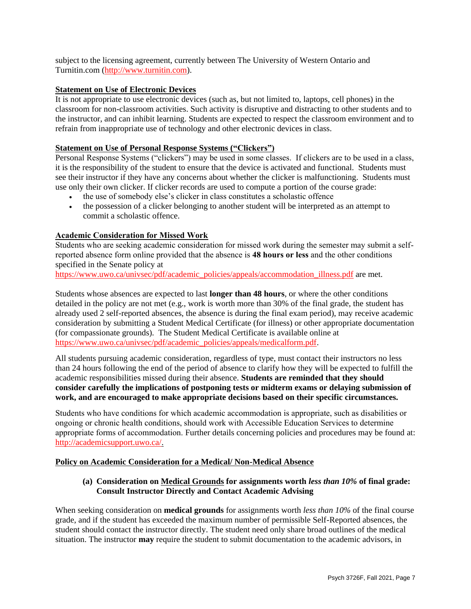subject to the licensing agreement, currently between The University of Western Ontario and Turnitin.com [\(http://www.turnitin.com\)](http://www.turnitin.com/).

# **Statement on Use of Electronic Devices**

It is not appropriate to use electronic devices (such as, but not limited to, laptops, cell phones) in the classroom for non-classroom activities. Such activity is disruptive and distracting to other students and to the instructor, and can inhibit learning. Students are expected to respect the classroom environment and to refrain from inappropriate use of technology and other electronic devices in class.

# **Statement on Use of Personal Response Systems ("Clickers")**

Personal Response Systems ("clickers") may be used in some classes. If clickers are to be used in a class, it is the responsibility of the student to ensure that the device is activated and functional. Students must see their instructor if they have any concerns about whether the clicker is malfunctioning. Students must use only their own clicker. If clicker records are used to compute a portion of the course grade:

- the use of somebody else's clicker in class constitutes a scholastic offence
- the possession of a clicker belonging to another student will be interpreted as an attempt to commit a scholastic offence.

# **Academic Consideration for Missed Work**

Students who are seeking academic consideration for missed work during the semester may submit a selfreported absence form online provided that the absence is **48 hours or less** and the other conditions specified in the Senate policy at

[https://www.uwo.ca/univsec/pdf/academic\\_policies/appeals/accommodation\\_illness.pdf](https://www.uwo.ca/univsec/pdf/academic_policies/appeals/accommodation_illness.pdf) are met.

Students whose absences are expected to last **longer than 48 hours**, or where the other conditions detailed in the policy are not met (e.g., work is worth more than 30% of the final grade, the student has already used 2 self-reported absences, the absence is during the final exam period), may receive academic consideration by submitting a Student Medical Certificate (for illness) or other appropriate documentation (for compassionate grounds). The Student Medical Certificate is available online at [https://www.uwo.ca/univsec/pdf/academic\\_policies/appeals/medicalform.pdf.](https://www.uwo.ca/univsec/pdf/academic_policies/appeals/medicalform.pdf)

All students pursuing academic consideration, regardless of type, must contact their instructors no less than 24 hours following the end of the period of absence to clarify how they will be expected to fulfill the academic responsibilities missed during their absence. **Students are reminded that they should consider carefully the implications of postponing tests or midterm exams or delaying submission of work, and are encouraged to make appropriate decisions based on their specific circumstances.**

Students who have conditions for which academic accommodation is appropriate, such as disabilities or ongoing or chronic health conditions, should work with Accessible Education Services to determine appropriate forms of accommodation. Further details concerning policies and procedures may be found at: [http://academicsupport.uwo.ca/.](http://academicsupport.uwo.ca/)

# **Policy on Academic Consideration for a Medical/ Non-Medical Absence**

# **(a) Consideration on Medical Grounds for assignments worth** *less than 10%* **of final grade: Consult Instructor Directly and Contact Academic Advising**

When seeking consideration on **medical grounds** for assignments worth *less than 10%* of the final course grade, and if the student has exceeded the maximum number of permissible Self-Reported absences, the student should contact the instructor directly. The student need only share broad outlines of the medical situation. The instructor **may** require the student to submit documentation to the academic advisors, in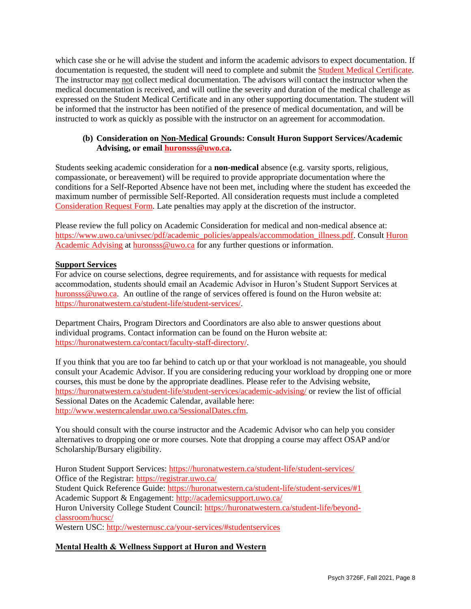which case she or he will advise the student and inform the academic advisors to expect documentation. If documentation is requested, the student will need to complete and submit the [Student Medical Certificate.](https://www.uwo.ca/univsec/pdf/academic_policies/appeals/medicalform_15JUN.pdf) The instructor may not collect medical documentation. The advisors will contact the instructor when the medical documentation is received, and will outline the severity and duration of the medical challenge as expressed on the Student Medical Certificate and in any other supporting documentation. The student will be informed that the instructor has been notified of the presence of medical documentation, and will be instructed to work as quickly as possible with the instructor on an agreement for accommodation.

# **(b) Consideration on Non-Medical Grounds: Consult Huron Support Services/Academic Advising, or email [huronsss@uwo.ca.](mailto:huronsss@uwo.ca)**

Students seeking academic consideration for a **non-medical** absence (e.g. varsity sports, religious, compassionate, or bereavement) will be required to provide appropriate documentation where the conditions for a Self-Reported Absence have not been met, including where the student has exceeded the maximum number of permissible Self-Reported. All consideration requests must include a completed [Consideration Request Form.](https://huronatwestern.ca/sites/default/files/Forms/Academic%20Consideration%20Request%20Form%202020.pdf) Late penalties may apply at the discretion of the instructor.

Please review the full policy on Academic Consideration for medical and non-medical absence at: [https://www.uwo.ca/univsec/pdf/academic\\_policies/appeals/accommodation\\_illness.pdf.](https://www.uwo.ca/univsec/pdf/academic_policies/appeals/accommodation_illness.pdf) Consult [Huron](https://huronatwestern.ca/student-life/student-services/academic-advising/)  [Academic Advising](https://huronatwestern.ca/student-life/student-services/academic-advising/) at [huronsss@uwo.ca](mailto:huronsss@uwo.ca) for any further questions or information.

# **Support Services**

For advice on course selections, degree requirements, and for assistance with requests for medical accommodation, students should email an Academic Advisor in Huron's Student Support Services at [huronsss@uwo.ca.](mailto:huronsss@uwo.ca) An outline of the range of services offered is found on the Huron website at: [https://huronatwestern.ca/student-life/student-services/.](https://huronatwestern.ca/student-life/student-services/)

Department Chairs, Program Directors and Coordinators are also able to answer questions about individual programs. Contact information can be found on the Huron website at: [https://huronatwestern.ca/contact/faculty-staff-directory/.](https://huronatwestern.ca/contact/faculty-staff-directory/)

If you think that you are too far behind to catch up or that your workload is not manageable, you should consult your Academic Advisor. If you are considering reducing your workload by dropping one or more courses, this must be done by the appropriate deadlines. Please refer to the Advising website, <https://huronatwestern.ca/student-life/student-services/academic-advising/> or review the list of official Sessional Dates on the Academic Calendar, available here: [http://www.westerncalendar.uwo.ca/SessionalDates.cfm.](http://www.westerncalendar.uwo.ca/SessionalDates.cfm)

You should consult with the course instructor and the Academic Advisor who can help you consider alternatives to dropping one or more courses. Note that dropping a course may affect OSAP and/or Scholarship/Bursary eligibility.

Huron Student Support Services:<https://huronatwestern.ca/student-life/student-services/> Office of the Registrar: <https://registrar.uwo.ca/> Student Quick Reference Guide:<https://huronatwestern.ca/student-life/student-services/#1> Academic Support & Engagement:<http://academicsupport.uwo.ca/> Huron University College Student Council: [https://huronatwestern.ca/student-life/beyond](https://huronatwestern.ca/student-life/beyond-classroom/hucsc/)[classroom/hucsc/](https://huronatwestern.ca/student-life/beyond-classroom/hucsc/)  Western USC:<http://westernusc.ca/your-services/#studentservices>

**Mental Health & Wellness Support at Huron and Western**